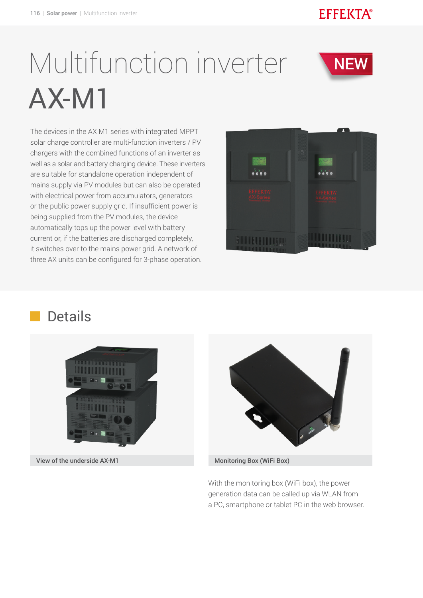#### **EFFEKTA®**

**NEW** 

# Multifunction inverter AX-M1

The devices in the AX M1 series with integrated MPPT solar charge controller are multi-function inverters / PV chargers with the combined functions of an inverter as well as a solar and battery charging device. These inverters are suitable for standalone operation independent of mains supply via PV modules but can also be operated with electrical power from accumulators, generators or the public power supply grid. If insufficient power is being supplied from the PV modules, the device automatically tops up the power level with battery current or, if the batteries are discharged completely, it switches over to the mains power grid. A network of three AX units can be configured for 3-phase operation.



### Details



View of the underside AX-M1 Monitoring Box (WiFi Box)



With the monitoring box (WiFi box), the power generation data can be called up via WLAN from a PC, smartphone or tablet PC in the web browser.